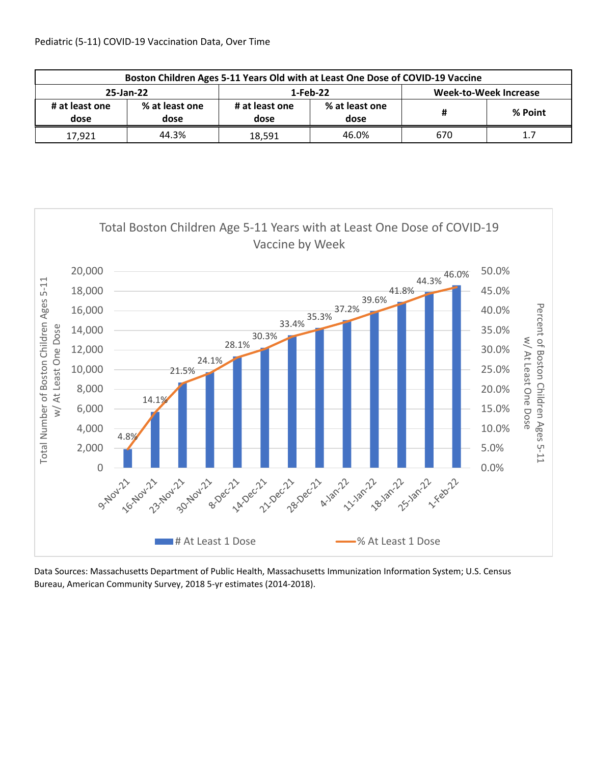| Boston Children Ages 5-11 Years Old with at Least One Dose of COVID-19 Vaccine |                        |                        |                        |                              |          |  |  |  |  |
|--------------------------------------------------------------------------------|------------------------|------------------------|------------------------|------------------------------|----------|--|--|--|--|
| 25-Jan-22                                                                      |                        | 1-Feb-22               |                        | <b>Week-to-Week Increase</b> |          |  |  |  |  |
| # at least one<br>dose                                                         | % at least one<br>dose | # at least one<br>dose | % at least one<br>dose |                              | % Point  |  |  |  |  |
| 17,921                                                                         | 44.3%                  | 18.591                 | 46.0%                  | 670                          | <b>.</b> |  |  |  |  |



Data Sources: Massachusetts Department of Public Health, Massachusetts Immunization Information System; U.S. Census Bureau, American Community Survey, 2018 5‐yr estimates (2014‐2018).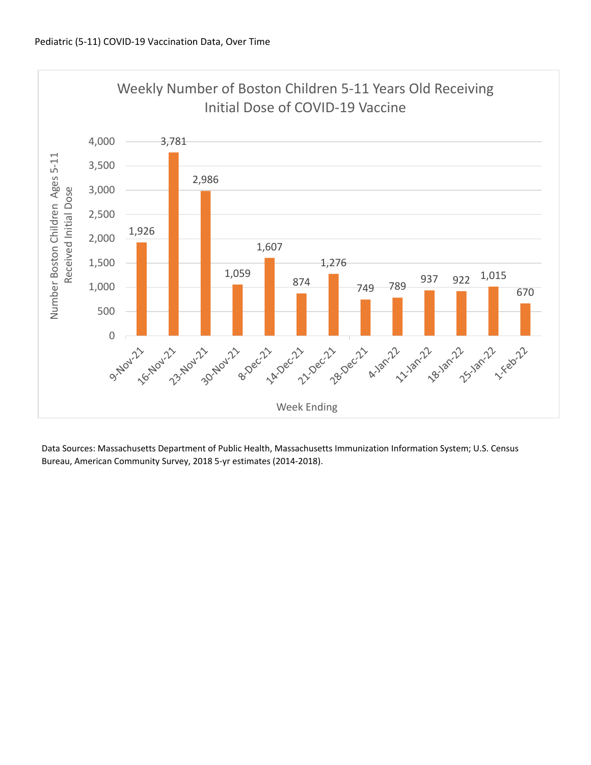

Data Sources: Massachusetts Department of Public Health, Massachusetts Immunization Information System; U.S. Census Bureau, American Community Survey, 2018 5‐yr estimates (2014‐2018).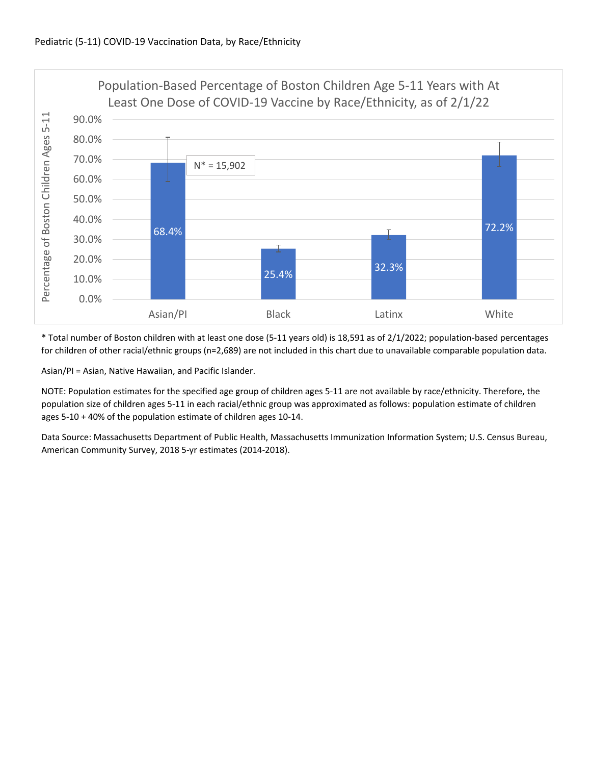

\* Total number of Boston children with at least one dose (5‐11 years old) is 18,591 as of 2/1/2022; population‐based percentages for children of other racial/ethnic groups (n=2,689) are not included in this chart due to unavailable comparable population data.

Asian/PI = Asian, Native Hawaiian, and Pacific Islander.

NOTE: Population estimates for the specified age group of children ages 5‐11 are not available by race/ethnicity. Therefore, the population size of children ages 5‐11 in each racial/ethnic group was approximated as follows: population estimate of children ages 5‐10 + 40% of the population estimate of children ages 10‐14.

Data Source: Massachusetts Department of Public Health, Massachusetts Immunization Information System; U.S. Census Bureau, American Community Survey, 2018 5‐yr estimates (2014‐2018).